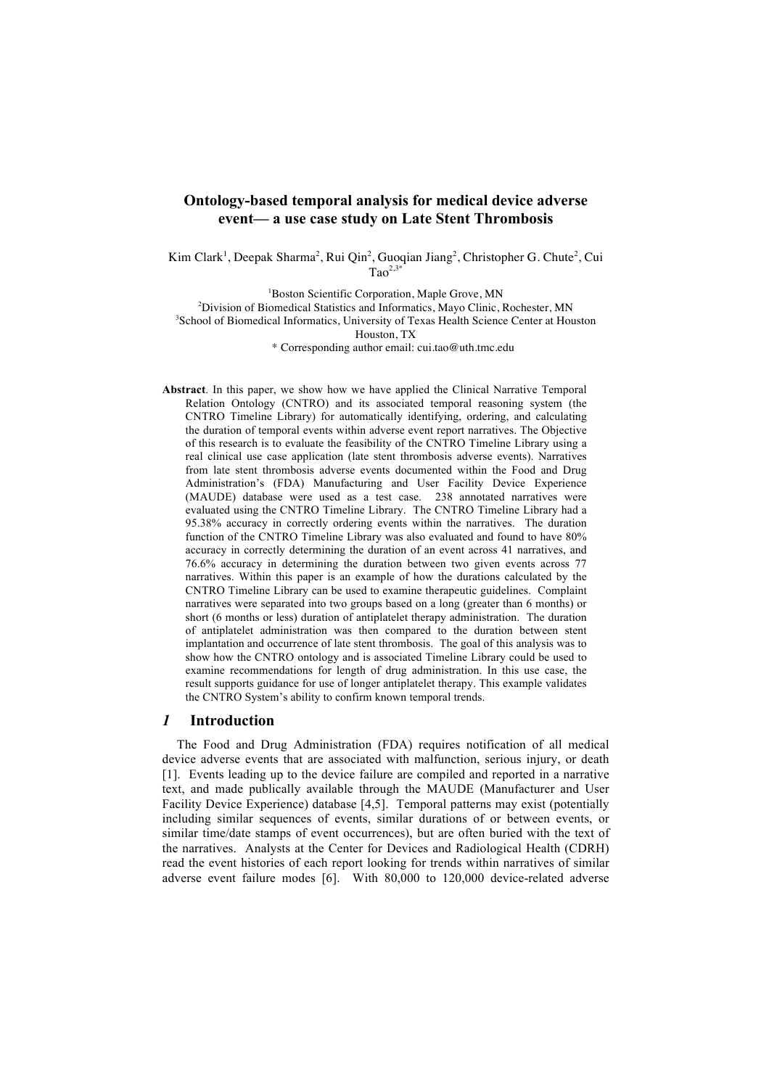# **Ontology-based temporal analysis for medical device adverse event— a use case study on Late Stent Thrombosis**

Kim Clark<sup>1</sup>, Deepak Sharma<sup>2</sup>, Rui Qin<sup>2</sup>, Guoqian Jiang<sup>2</sup>, Christopher G. Chute<sup>2</sup>, Cui  $Ta^2$ <sup>2,3</sup>

<sup>1</sup>Boston Scientific Corporation, Maple Grove, MN <sup>2</sup>Division of Biomedical Statistics and Informatics, Mayo Clinic, Rochester, MN 3 School of Biomedical Informatics, University of Texas Health Science Center at Houston Houston, TX \* Corresponding author email: cui.tao@uth.tmc.edu

**Abstract**. In this paper, we show how we have applied the Clinical Narrative Temporal Relation Ontology (CNTRO) and its associated temporal reasoning system (the CNTRO Timeline Library) for automatically identifying, ordering, and calculating the duration of temporal events within adverse event report narratives. The Objective of this research is to evaluate the feasibility of the CNTRO Timeline Library using a real clinical use case application (late stent thrombosis adverse events). Narratives from late stent thrombosis adverse events documented within the Food and Drug Administration's (FDA) Manufacturing and User Facility Device Experience (MAUDE) database were used as a test case. 238 annotated narratives were evaluated using the CNTRO Timeline Library. The CNTRO Timeline Library had a 95.38% accuracy in correctly ordering events within the narratives. The duration function of the CNTRO Timeline Library was also evaluated and found to have 80% accuracy in correctly determining the duration of an event across 41 narratives, and 76.6% accuracy in determining the duration between two given events across 77 narratives. Within this paper is an example of how the durations calculated by the CNTRO Timeline Library can be used to examine therapeutic guidelines. Complaint narratives were separated into two groups based on a long (greater than 6 months) or short (6 months or less) duration of antiplatelet therapy administration. The duration of antiplatelet administration was then compared to the duration between stent implantation and occurrence of late stent thrombosis. The goal of this analysis was to show how the CNTRO ontology and is associated Timeline Library could be used to examine recommendations for length of drug administration. In this use case, the result supports guidance for use of longer antiplatelet therapy. This example validates the CNTRO System's ability to confirm known temporal trends.

#### *1* **Introduction**

The Food and Drug Administration (FDA) requires notification of all medical device adverse events that are associated with malfunction, serious injury, or death [1]. Events leading up to the device failure are compiled and reported in a narrative text, and made publically available through the MAUDE (Manufacturer and User Facility Device Experience) database [4,5]. Temporal patterns may exist (potentially including similar sequences of events, similar durations of or between events, or similar time/date stamps of event occurrences), but are often buried with the text of the narratives. Analysts at the Center for Devices and Radiological Health (CDRH) read the event histories of each report looking for trends within narratives of similar adverse event failure modes [6]. With 80,000 to 120,000 device-related adverse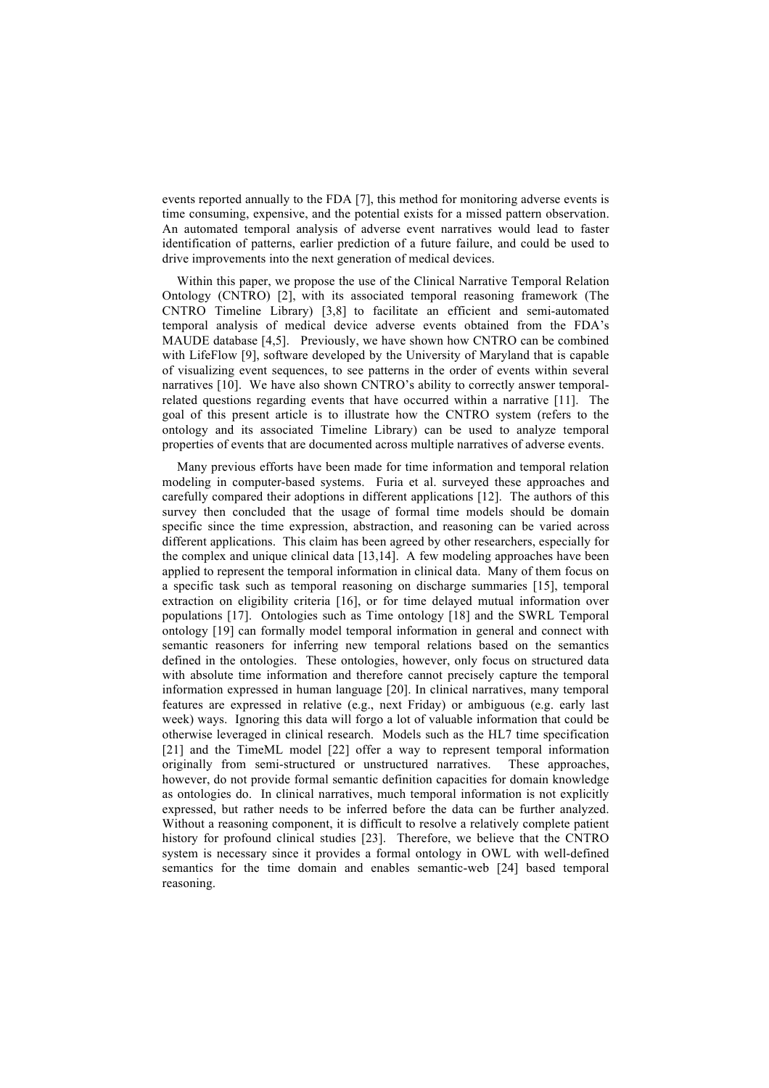events reported annually to the FDA [7], this method for monitoring adverse events is time consuming, expensive, and the potential exists for a missed pattern observation. An automated temporal analysis of adverse event narratives would lead to faster identification of patterns, earlier prediction of a future failure, and could be used to drive improvements into the next generation of medical devices.

Within this paper, we propose the use of the Clinical Narrative Temporal Relation Ontology (CNTRO) [2], with its associated temporal reasoning framework (The CNTRO Timeline Library) [3,8] to facilitate an efficient and semi-automated temporal analysis of medical device adverse events obtained from the FDA's MAUDE database [4,5]. Previously, we have shown how CNTRO can be combined with LifeFlow [9], software developed by the University of Maryland that is capable of visualizing event sequences, to see patterns in the order of events within several narratives [10]. We have also shown CNTRO's ability to correctly answer temporalrelated questions regarding events that have occurred within a narrative [11]. The goal of this present article is to illustrate how the CNTRO system (refers to the ontology and its associated Timeline Library) can be used to analyze temporal properties of events that are documented across multiple narratives of adverse events.

Many previous efforts have been made for time information and temporal relation modeling in computer-based systems. Furia et al. surveyed these approaches and carefully compared their adoptions in different applications [12]. The authors of this survey then concluded that the usage of formal time models should be domain specific since the time expression, abstraction, and reasoning can be varied across different applications. This claim has been agreed by other researchers, especially for the complex and unique clinical data [13,14]. A few modeling approaches have been applied to represent the temporal information in clinical data. Many of them focus on a specific task such as temporal reasoning on discharge summaries [15], temporal extraction on eligibility criteria [16], or for time delayed mutual information over populations [17]. Ontologies such as Time ontology [18] and the SWRL Temporal ontology [19] can formally model temporal information in general and connect with semantic reasoners for inferring new temporal relations based on the semantics defined in the ontologies. These ontologies, however, only focus on structured data with absolute time information and therefore cannot precisely capture the temporal information expressed in human language [20]. In clinical narratives, many temporal features are expressed in relative (e.g., next Friday) or ambiguous (e.g. early last week) ways. Ignoring this data will forgo a lot of valuable information that could be otherwise leveraged in clinical research. Models such as the HL7 time specification [21] and the TimeML model [22] offer a way to represent temporal information originally from semi-structured or unstructured narratives. These approaches, however, do not provide formal semantic definition capacities for domain knowledge as ontologies do. In clinical narratives, much temporal information is not explicitly expressed, but rather needs to be inferred before the data can be further analyzed. Without a reasoning component, it is difficult to resolve a relatively complete patient history for profound clinical studies [23]. Therefore, we believe that the CNTRO system is necessary since it provides a formal ontology in OWL with well-defined semantics for the time domain and enables semantic-web [24] based temporal reasoning.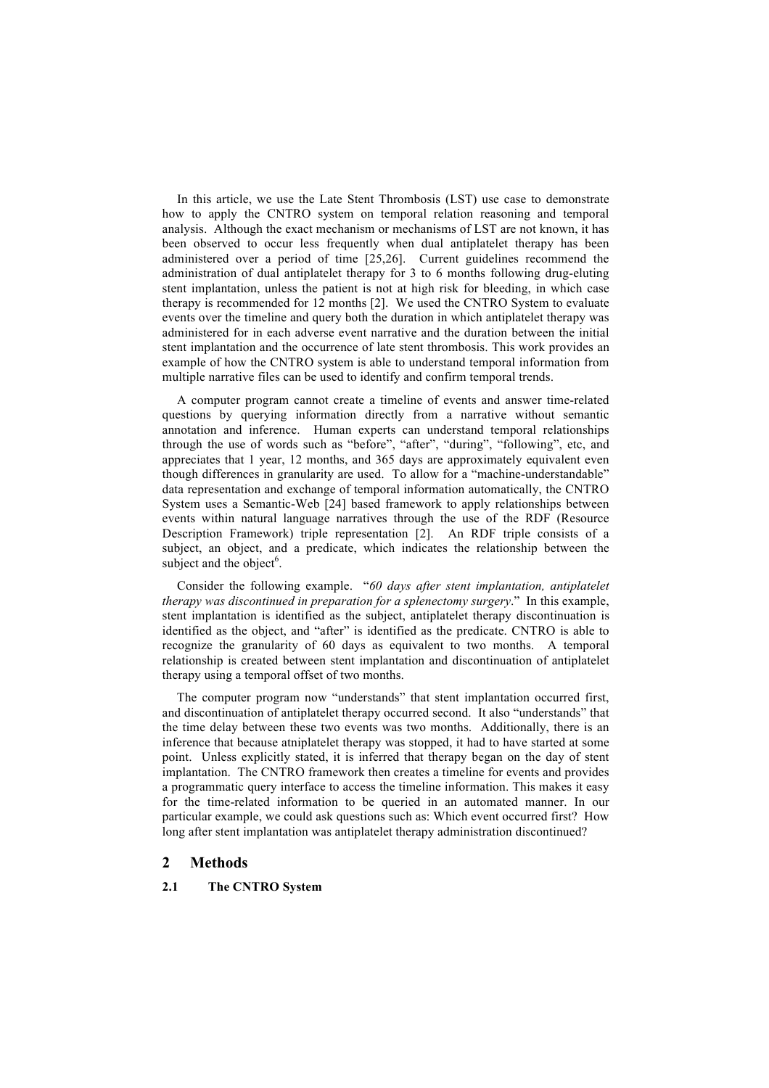In this article, we use the Late Stent Thrombosis (LST) use case to demonstrate how to apply the CNTRO system on temporal relation reasoning and temporal analysis. Although the exact mechanism or mechanisms of LST are not known, it has been observed to occur less frequently when dual antiplatelet therapy has been administered over a period of time [25,26]. Current guidelines recommend the administration of dual antiplatelet therapy for 3 to 6 months following drug-eluting stent implantation, unless the patient is not at high risk for bleeding, in which case therapy is recommended for 12 months [2]. We used the CNTRO System to evaluate events over the timeline and query both the duration in which antiplatelet therapy was administered for in each adverse event narrative and the duration between the initial stent implantation and the occurrence of late stent thrombosis. This work provides an example of how the CNTRO system is able to understand temporal information from multiple narrative files can be used to identify and confirm temporal trends.

A computer program cannot create a timeline of events and answer time-related questions by querying information directly from a narrative without semantic annotation and inference. Human experts can understand temporal relationships through the use of words such as "before", "after", "during", "following", etc, and appreciates that 1 year, 12 months, and 365 days are approximately equivalent even though differences in granularity are used. To allow for a "machine-understandable" data representation and exchange of temporal information automatically, the CNTRO System uses a Semantic-Web [24] based framework to apply relationships between events within natural language narratives through the use of the RDF (Resource Description Framework) triple representation [2]. An RDF triple consists of a subject, an object, and a predicate, which indicates the relationship between the subject and the object $6$ .

Consider the following example. "*60 days after stent implantation, antiplatelet therapy was discontinued in preparation for a splenectomy surgery*." In this example, stent implantation is identified as the subject, antiplatelet therapy discontinuation is identified as the object, and "after" is identified as the predicate. CNTRO is able to recognize the granularity of 60 days as equivalent to two months. A temporal relationship is created between stent implantation and discontinuation of antiplatelet therapy using a temporal offset of two months.

The computer program now "understands" that stent implantation occurred first, and discontinuation of antiplatelet therapy occurred second. It also "understands" that the time delay between these two events was two months. Additionally, there is an inference that because atniplatelet therapy was stopped, it had to have started at some point. Unless explicitly stated, it is inferred that therapy began on the day of stent implantation. The CNTRO framework then creates a timeline for events and provides a programmatic query interface to access the timeline information. This makes it easy for the time-related information to be queried in an automated manner. In our particular example, we could ask questions such as: Which event occurred first? How long after stent implantation was antiplatelet therapy administration discontinued?

# **2 Methods**

#### **2.1 The CNTRO System**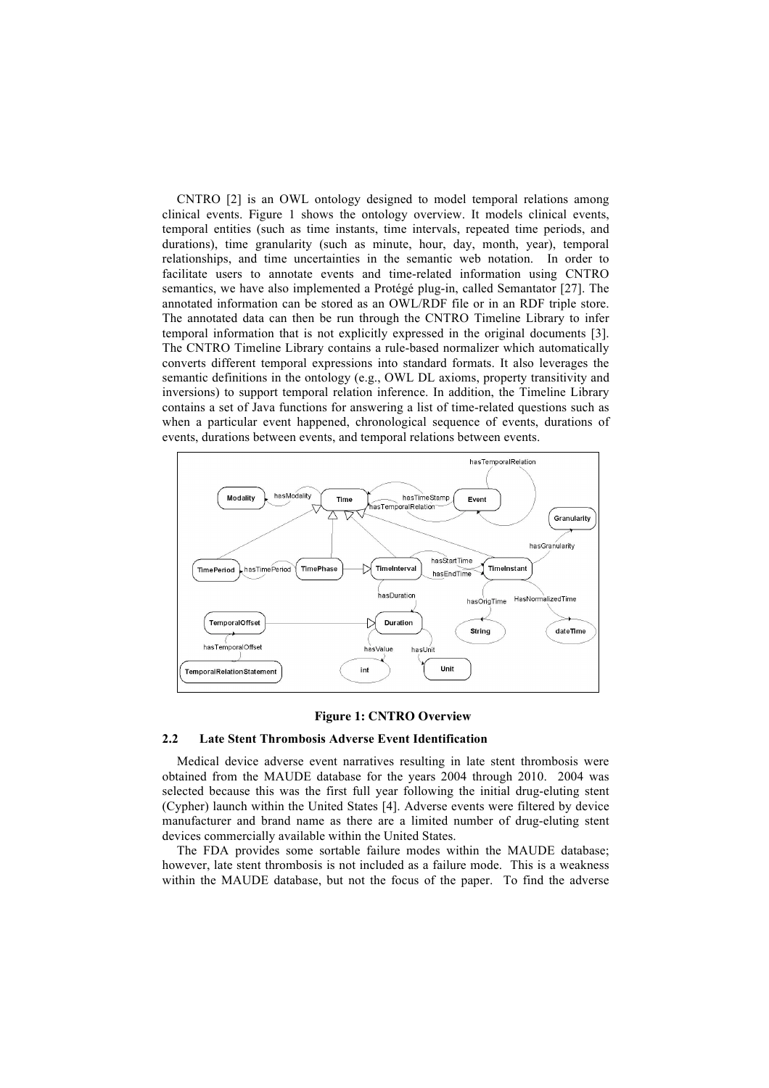CNTRO [2] is an OWL ontology designed to model temporal relations among clinical events. Figure 1 shows the ontology overview. It models clinical events, temporal entities (such as time instants, time intervals, repeated time periods, and durations), time granularity (such as minute, hour, day, month, year), temporal relationships, and time uncertainties in the semantic web notation. In order to facilitate users to annotate events and time-related information using CNTRO semantics, we have also implemented a Protégé plug-in, called Semantator [27]. The annotated information can be stored as an OWL/RDF file or in an RDF triple store. The annotated data can then be run through the CNTRO Timeline Library to infer temporal information that is not explicitly expressed in the original documents [3]. The CNTRO Timeline Library contains a rule-based normalizer which automatically converts different temporal expressions into standard formats. It also leverages the semantic definitions in the ontology (e.g., OWL DL axioms, property transitivity and inversions) to support temporal relation inference. In addition, the Timeline Library contains a set of Java functions for answering a list of time-related questions such as when a particular event happened, chronological sequence of events, durations of events, durations between events, and temporal relations between events.



#### **Figure 1: CNTRO Overview**

#### **2.2 Late Stent Thrombosis Adverse Event Identification**

Medical device adverse event narratives resulting in late stent thrombosis were obtained from the MAUDE database for the years 2004 through 2010. 2004 was selected because this was the first full year following the initial drug-eluting stent (Cypher) launch within the United States [4]. Adverse events were filtered by device manufacturer and brand name as there are a limited number of drug-eluting stent devices commercially available within the United States.

The FDA provides some sortable failure modes within the MAUDE database; however, late stent thrombosis is not included as a failure mode. This is a weakness within the MAUDE database, but not the focus of the paper. To find the adverse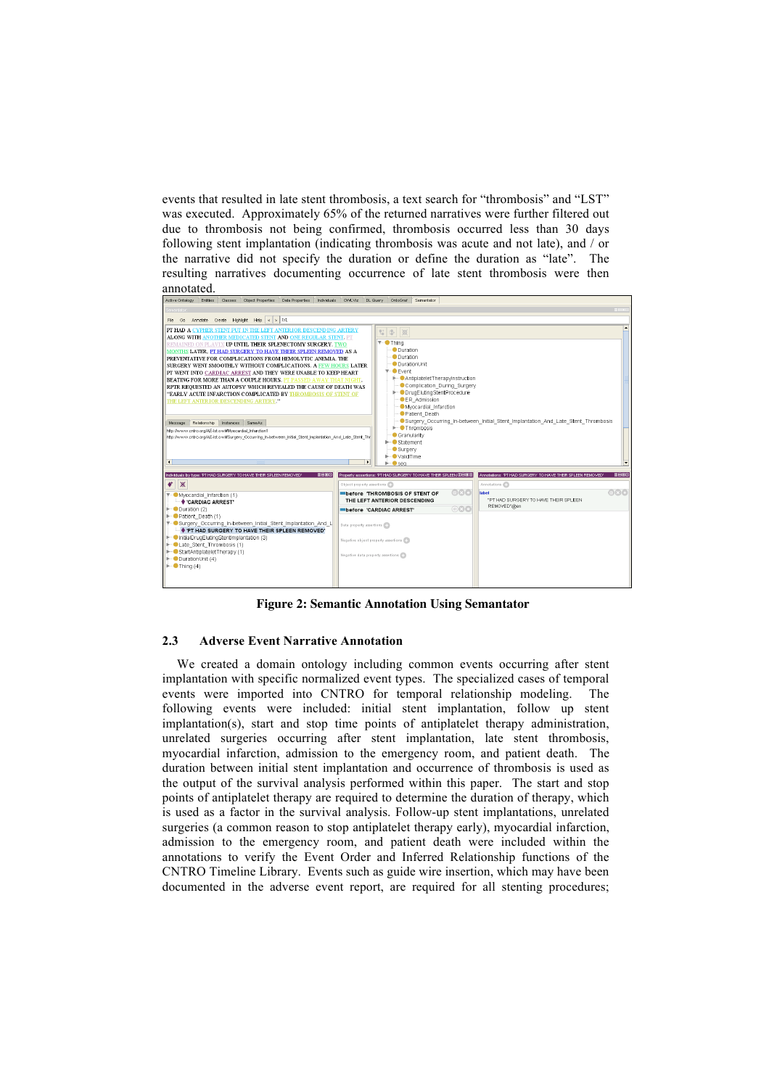events that resulted in late stent thrombosis, a text search for "thrombosis" and "LST" was executed. Approximately 65% of the returned narratives were further filtered out due to thrombosis not being confirmed, thrombosis occurred less than 30 days following stent implantation (indicating thrombosis was acute and not late), and / or the narrative did not specify the duration or define the duration as "late". The resulting narratives documenting occurrence of late stent thrombosis were then annotated.



**Figure 2: Semantic Annotation Using Semantator**

#### **2.3 Adverse Event Narrative Annotation**

We created a domain ontology including common events occurring after stent implantation with specific normalized event types. The specialized cases of temporal events were imported into CNTRO for temporal relationship modeling. The following events were included: initial stent implantation, follow up stent implantation(s), start and stop time points of antiplatelet therapy administration, unrelated surgeries occurring after stent implantation, late stent thrombosis, myocardial infarction, admission to the emergency room, and patient death. The duration between initial stent implantation and occurrence of thrombosis is used as the output of the survival analysis performed within this paper. The start and stop points of antiplatelet therapy are required to determine the duration of therapy, which is used as a factor in the survival analysis. Follow-up stent implantations, unrelated surgeries (a common reason to stop antiplatelet therapy early), myocardial infarction, admission to the emergency room, and patient death were included within the annotations to verify the Event Order and Inferred Relationship functions of the CNTRO Timeline Library. Events such as guide wire insertion, which may have been documented in the adverse event report, are required for all stenting procedures;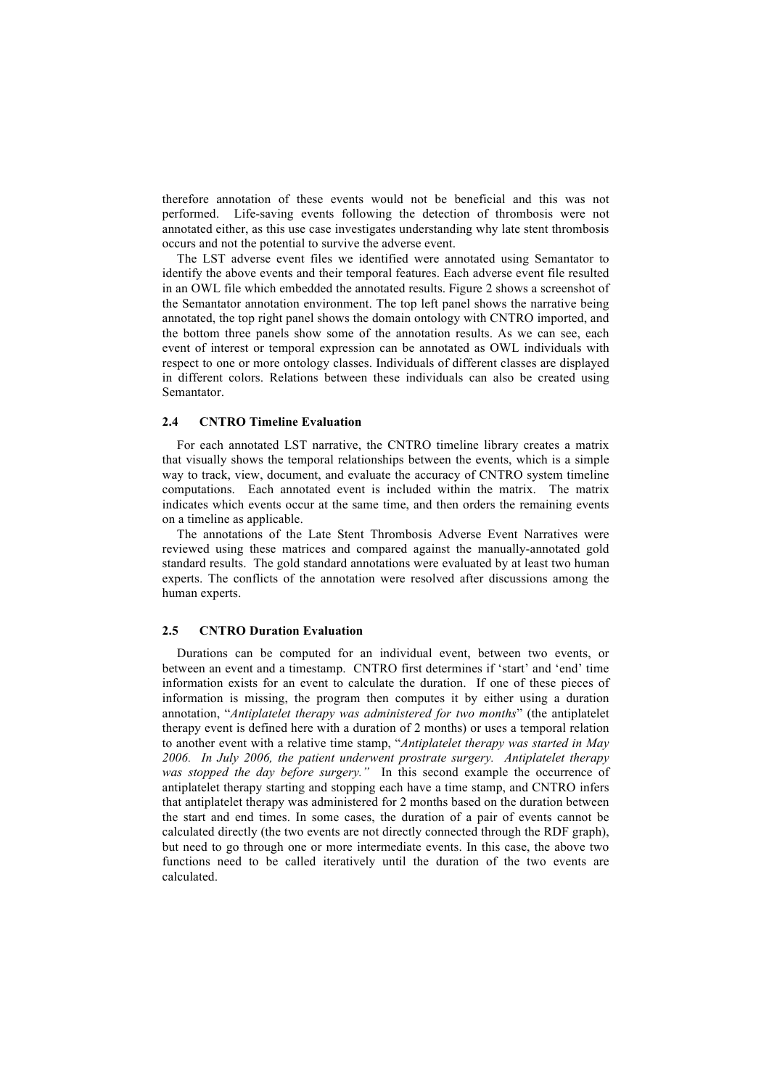therefore annotation of these events would not be beneficial and this was not performed. Life-saving events following the detection of thrombosis were not annotated either, as this use case investigates understanding why late stent thrombosis occurs and not the potential to survive the adverse event.

The LST adverse event files we identified were annotated using Semantator to identify the above events and their temporal features. Each adverse event file resulted in an OWL file which embedded the annotated results. Figure 2 shows a screenshot of the Semantator annotation environment. The top left panel shows the narrative being annotated, the top right panel shows the domain ontology with CNTRO imported, and the bottom three panels show some of the annotation results. As we can see, each event of interest or temporal expression can be annotated as OWL individuals with respect to one or more ontology classes. Individuals of different classes are displayed in different colors. Relations between these individuals can also be created using Semantator.

## **2.4 CNTRO Timeline Evaluation**

For each annotated LST narrative, the CNTRO timeline library creates a matrix that visually shows the temporal relationships between the events, which is a simple way to track, view, document, and evaluate the accuracy of CNTRO system timeline computations. Each annotated event is included within the matrix. The matrix indicates which events occur at the same time, and then orders the remaining events on a timeline as applicable.

The annotations of the Late Stent Thrombosis Adverse Event Narratives were reviewed using these matrices and compared against the manually-annotated gold standard results. The gold standard annotations were evaluated by at least two human experts. The conflicts of the annotation were resolved after discussions among the human experts.

#### **2.5 CNTRO Duration Evaluation**

Durations can be computed for an individual event, between two events, or between an event and a timestamp. CNTRO first determines if 'start' and 'end' time information exists for an event to calculate the duration. If one of these pieces of information is missing, the program then computes it by either using a duration annotation, "*Antiplatelet therapy was administered for two months*" (the antiplatelet therapy event is defined here with a duration of 2 months) or uses a temporal relation to another event with a relative time stamp, "*Antiplatelet therapy was started in May 2006. In July 2006, the patient underwent prostrate surgery. Antiplatelet therapy was stopped the day before surgery."* In this second example the occurrence of antiplatelet therapy starting and stopping each have a time stamp, and CNTRO infers that antiplatelet therapy was administered for 2 months based on the duration between the start and end times. In some cases, the duration of a pair of events cannot be calculated directly (the two events are not directly connected through the RDF graph), but need to go through one or more intermediate events. In this case, the above two functions need to be called iteratively until the duration of the two events are calculated.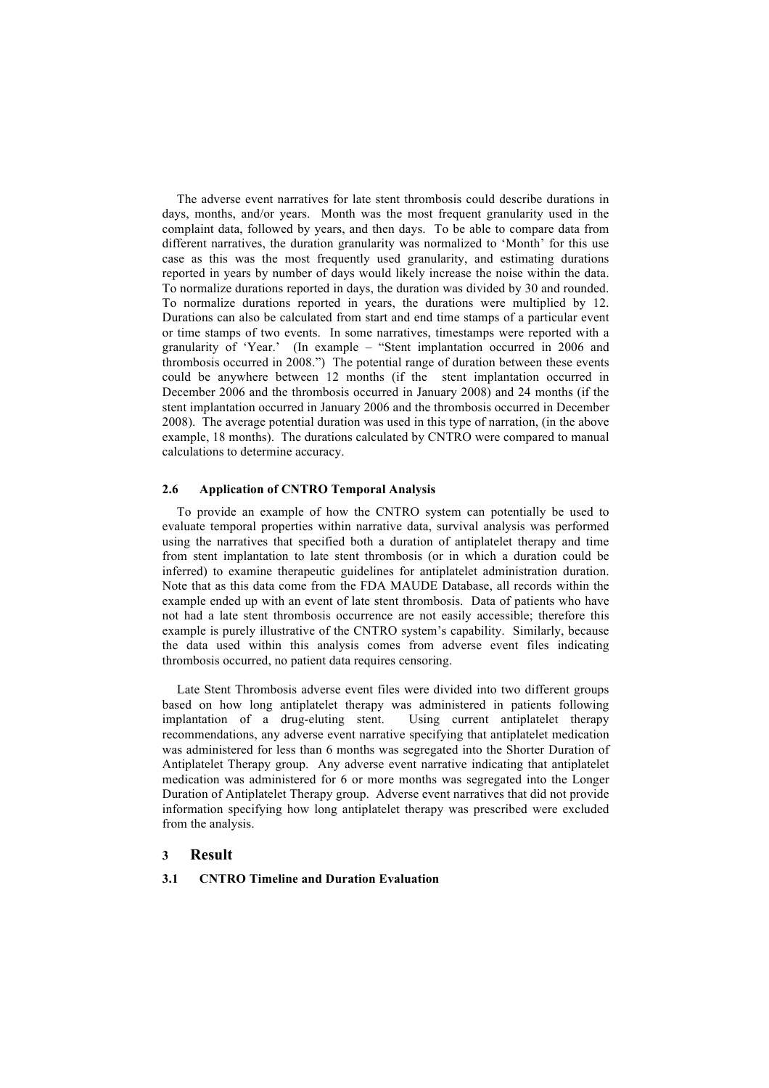The adverse event narratives for late stent thrombosis could describe durations in days, months, and/or years. Month was the most frequent granularity used in the complaint data, followed by years, and then days. To be able to compare data from different narratives, the duration granularity was normalized to 'Month' for this use case as this was the most frequently used granularity, and estimating durations reported in years by number of days would likely increase the noise within the data. To normalize durations reported in days, the duration was divided by 30 and rounded. To normalize durations reported in years, the durations were multiplied by 12. Durations can also be calculated from start and end time stamps of a particular event or time stamps of two events. In some narratives, timestamps were reported with a granularity of 'Year.' (In example – "Stent implantation occurred in 2006 and thrombosis occurred in 2008.") The potential range of duration between these events could be anywhere between 12 months (if the stent implantation occurred in December 2006 and the thrombosis occurred in January 2008) and 24 months (if the stent implantation occurred in January 2006 and the thrombosis occurred in December 2008). The average potential duration was used in this type of narration, (in the above example, 18 months). The durations calculated by CNTRO were compared to manual calculations to determine accuracy.

#### **2.6 Application of CNTRO Temporal Analysis**

To provide an example of how the CNTRO system can potentially be used to evaluate temporal properties within narrative data, survival analysis was performed using the narratives that specified both a duration of antiplatelet therapy and time from stent implantation to late stent thrombosis (or in which a duration could be inferred) to examine therapeutic guidelines for antiplatelet administration duration. Note that as this data come from the FDA MAUDE Database, all records within the example ended up with an event of late stent thrombosis. Data of patients who have not had a late stent thrombosis occurrence are not easily accessible; therefore this example is purely illustrative of the CNTRO system's capability. Similarly, because the data used within this analysis comes from adverse event files indicating thrombosis occurred, no patient data requires censoring.

Late Stent Thrombosis adverse event files were divided into two different groups based on how long antiplatelet therapy was administered in patients following implantation of a drug-eluting stent. Using current antiplatelet therapy recommendations, any adverse event narrative specifying that antiplatelet medication was administered for less than 6 months was segregated into the Shorter Duration of Antiplatelet Therapy group. Any adverse event narrative indicating that antiplatelet medication was administered for 6 or more months was segregated into the Longer Duration of Antiplatelet Therapy group. Adverse event narratives that did not provide information specifying how long antiplatelet therapy was prescribed were excluded from the analysis.

## **3 Result**

#### **3.1 CNTRO Timeline and Duration Evaluation**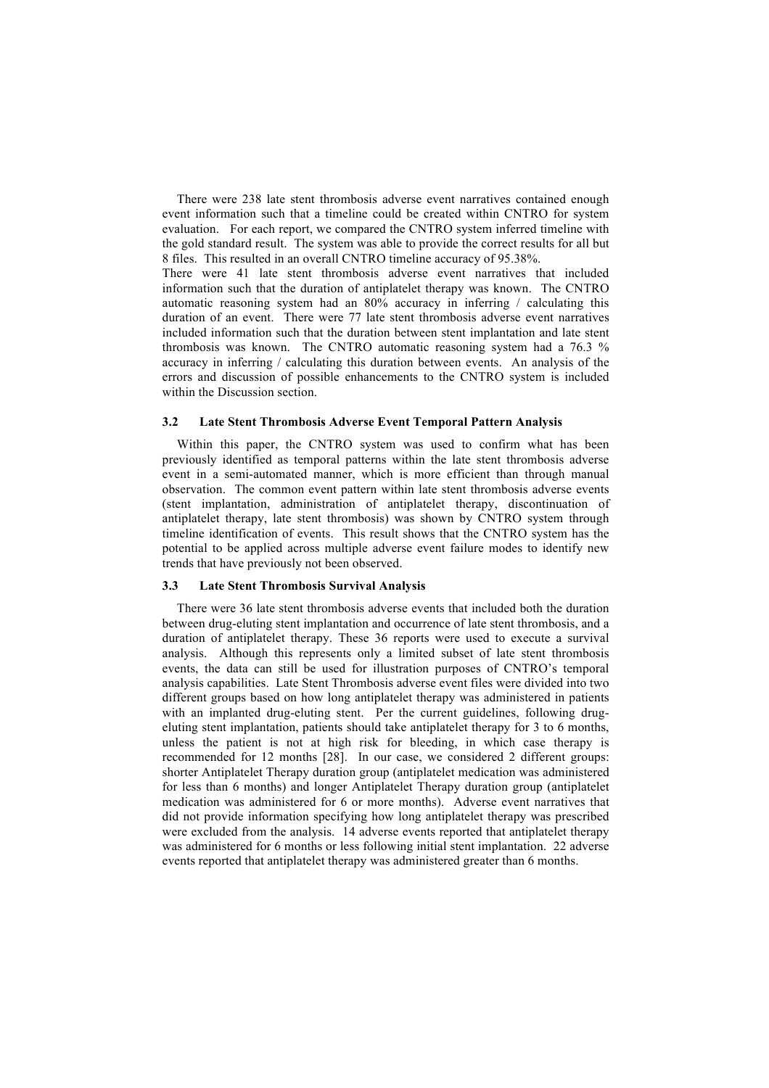There were 238 late stent thrombosis adverse event narratives contained enough event information such that a timeline could be created within CNTRO for system evaluation. For each report, we compared the CNTRO system inferred timeline with the gold standard result. The system was able to provide the correct results for all but 8 files. This resulted in an overall CNTRO timeline accuracy of 95.38%.

There were 41 late stent thrombosis adverse event narratives that included information such that the duration of antiplatelet therapy was known. The CNTRO automatic reasoning system had an 80% accuracy in inferring / calculating this duration of an event. There were 77 late stent thrombosis adverse event narratives included information such that the duration between stent implantation and late stent thrombosis was known. The CNTRO automatic reasoning system had a 76.3 % accuracy in inferring / calculating this duration between events. An analysis of the errors and discussion of possible enhancements to the CNTRO system is included within the Discussion section.

# **3.2 Late Stent Thrombosis Adverse Event Temporal Pattern Analysis**

Within this paper, the CNTRO system was used to confirm what has been previously identified as temporal patterns within the late stent thrombosis adverse event in a semi-automated manner, which is more efficient than through manual observation. The common event pattern within late stent thrombosis adverse events (stent implantation, administration of antiplatelet therapy, discontinuation of antiplatelet therapy, late stent thrombosis) was shown by CNTRO system through timeline identification of events. This result shows that the CNTRO system has the potential to be applied across multiple adverse event failure modes to identify new trends that have previously not been observed.

## **3.3 Late Stent Thrombosis Survival Analysis**

There were 36 late stent thrombosis adverse events that included both the duration between drug-eluting stent implantation and occurrence of late stent thrombosis, and a duration of antiplatelet therapy. These 36 reports were used to execute a survival analysis. Although this represents only a limited subset of late stent thrombosis events, the data can still be used for illustration purposes of CNTRO's temporal analysis capabilities. Late Stent Thrombosis adverse event files were divided into two different groups based on how long antiplatelet therapy was administered in patients with an implanted drug-eluting stent. Per the current guidelines, following drugeluting stent implantation, patients should take antiplatelet therapy for 3 to 6 months, unless the patient is not at high risk for bleeding, in which case therapy is recommended for 12 months [28]. In our case, we considered 2 different groups: shorter Antiplatelet Therapy duration group (antiplatelet medication was administered for less than 6 months) and longer Antiplatelet Therapy duration group (antiplatelet medication was administered for 6 or more months). Adverse event narratives that did not provide information specifying how long antiplatelet therapy was prescribed were excluded from the analysis. 14 adverse events reported that antiplatelet therapy was administered for 6 months or less following initial stent implantation. 22 adverse events reported that antiplatelet therapy was administered greater than 6 months.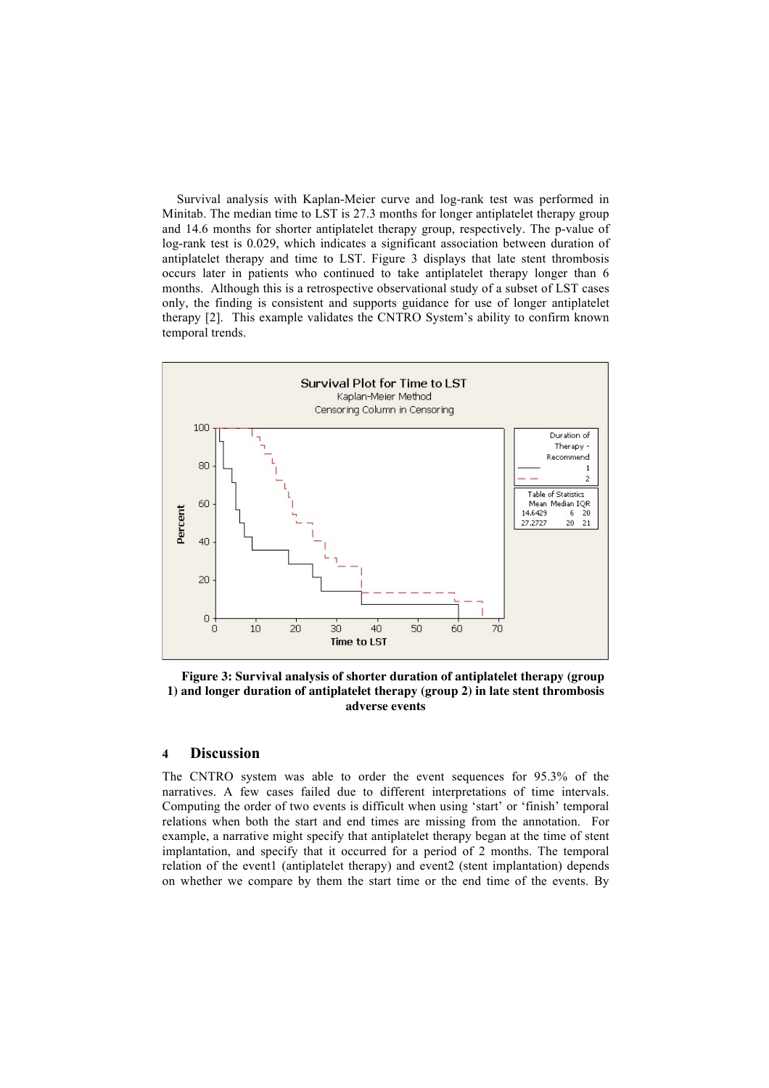Survival analysis with Kaplan-Meier curve and log-rank test was performed in Minitab. The median time to LST is 27.3 months for longer antiplatelet therapy group and 14.6 months for shorter antiplatelet therapy group, respectively. The p-value of log-rank test is 0.029, which indicates a significant association between duration of antiplatelet therapy and time to LST. Figure 3 displays that late stent thrombosis occurs later in patients who continued to take antiplatelet therapy longer than 6 months. Although this is a retrospective observational study of a subset of LST cases only, the finding is consistent and supports guidance for use of longer antiplatelet therapy [2]. This example validates the CNTRO System's ability to confirm known temporal trends.



**Figure 3: Survival analysis of shorter duration of antiplatelet therapy (group 1) and longer duration of antiplatelet therapy (group 2) in late stent thrombosis adverse events**

# **4 Discussion**

The CNTRO system was able to order the event sequences for 95.3% of the narratives. A few cases failed due to different interpretations of time intervals. Computing the order of two events is difficult when using 'start' or 'finish' temporal relations when both the start and end times are missing from the annotation. For example, a narrative might specify that antiplatelet therapy began at the time of stent implantation, and specify that it occurred for a period of 2 months. The temporal relation of the event1 (antiplatelet therapy) and event2 (stent implantation) depends on whether we compare by them the start time or the end time of the events. By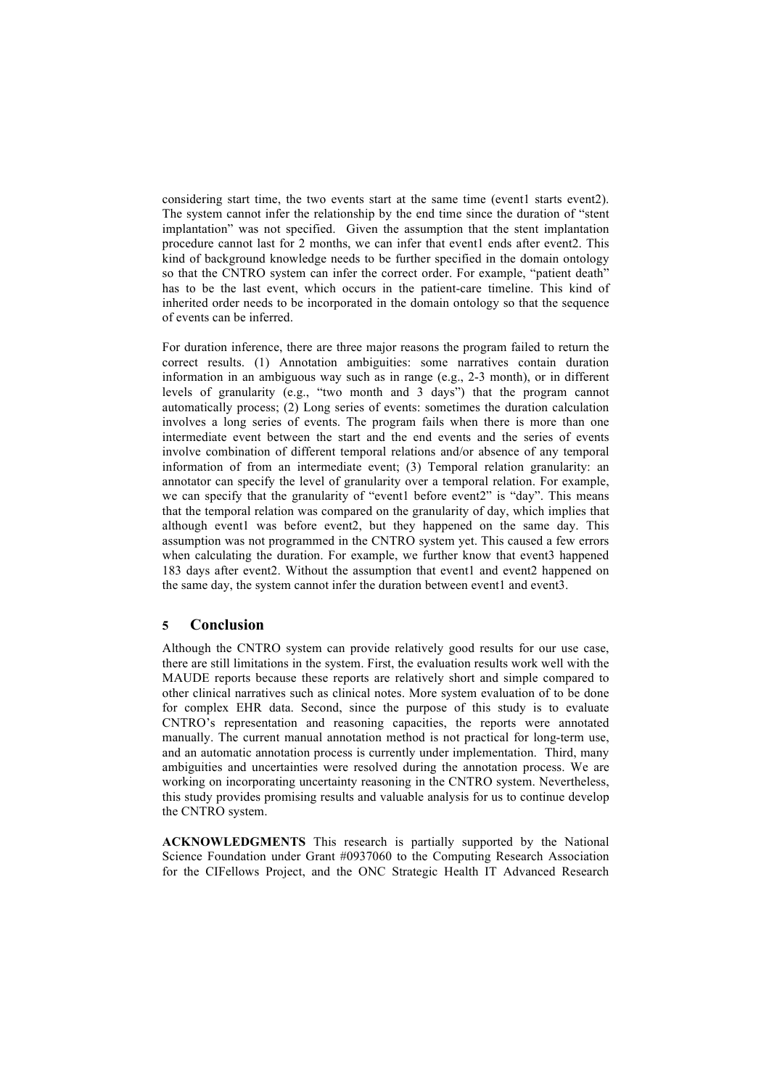considering start time, the two events start at the same time (event1 starts event2). The system cannot infer the relationship by the end time since the duration of "stent implantation" was not specified. Given the assumption that the stent implantation procedure cannot last for 2 months, we can infer that event1 ends after event2. This kind of background knowledge needs to be further specified in the domain ontology so that the CNTRO system can infer the correct order. For example, "patient death" has to be the last event, which occurs in the patient-care timeline. This kind of inherited order needs to be incorporated in the domain ontology so that the sequence of events can be inferred.

For duration inference, there are three major reasons the program failed to return the correct results. (1) Annotation ambiguities: some narratives contain duration information in an ambiguous way such as in range (e.g., 2-3 month), or in different levels of granularity (e.g., "two month and 3 days") that the program cannot automatically process; (2) Long series of events: sometimes the duration calculation involves a long series of events. The program fails when there is more than one intermediate event between the start and the end events and the series of events involve combination of different temporal relations and/or absence of any temporal information of from an intermediate event; (3) Temporal relation granularity: an annotator can specify the level of granularity over a temporal relation. For example, we can specify that the granularity of "event1 before event2" is "day". This means that the temporal relation was compared on the granularity of day, which implies that although event1 was before event2, but they happened on the same day. This assumption was not programmed in the CNTRO system yet. This caused a few errors when calculating the duration. For example, we further know that event3 happened 183 days after event2. Without the assumption that event1 and event2 happened on the same day, the system cannot infer the duration between event1 and event3.

# **5 Conclusion**

Although the CNTRO system can provide relatively good results for our use case, there are still limitations in the system. First, the evaluation results work well with the MAUDE reports because these reports are relatively short and simple compared to other clinical narratives such as clinical notes. More system evaluation of to be done for complex EHR data. Second, since the purpose of this study is to evaluate CNTRO's representation and reasoning capacities, the reports were annotated manually. The current manual annotation method is not practical for long-term use, and an automatic annotation process is currently under implementation. Third, many ambiguities and uncertainties were resolved during the annotation process. We are working on incorporating uncertainty reasoning in the CNTRO system. Nevertheless, this study provides promising results and valuable analysis for us to continue develop the CNTRO system.

**ACKNOWLEDGMENTS** This research is partially supported by the National Science Foundation under Grant #0937060 to the Computing Research Association for the CIFellows Project, and the ONC Strategic Health IT Advanced Research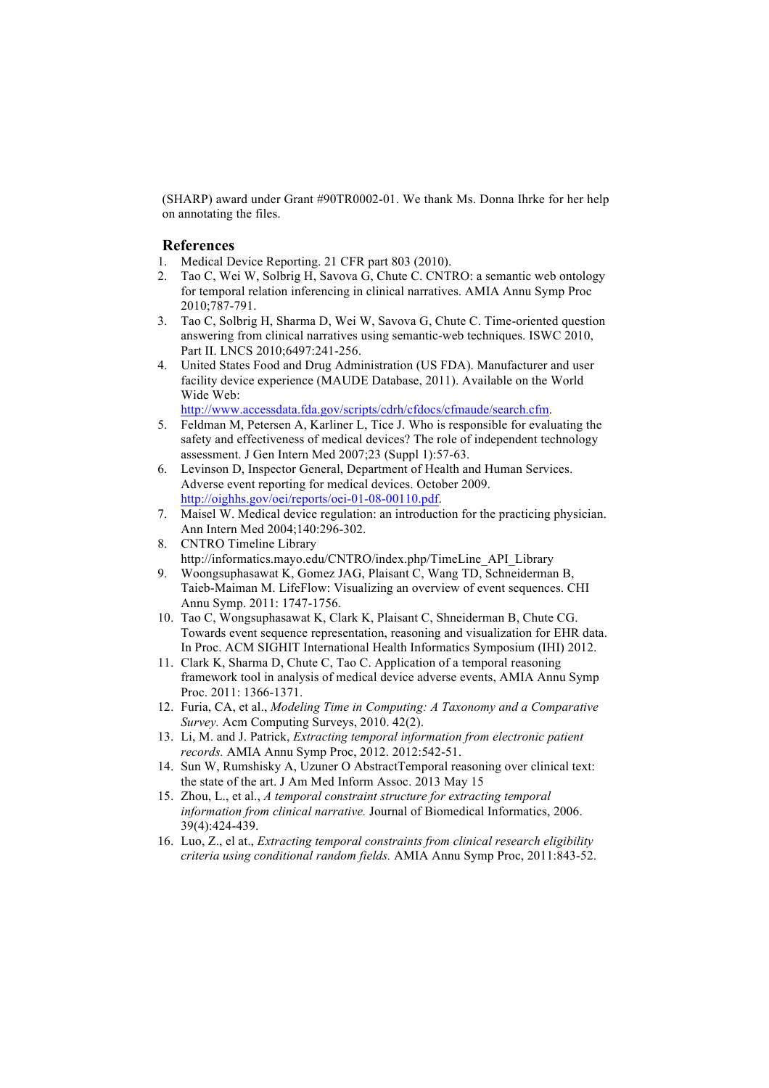(SHARP) award under Grant #90TR0002-01. We thank Ms. Donna Ihrke for her help on annotating the files.

# **References**

- 1. Medical Device Reporting. 21 CFR part 803 (2010).
- 2. Tao C, Wei W, Solbrig H, Savova G, Chute C. CNTRO: a semantic web ontology for temporal relation inferencing in clinical narratives. AMIA Annu Symp Proc 2010;787-791.
- 3. Tao C, Solbrig H, Sharma D, Wei W, Savova G, Chute C. Time-oriented question answering from clinical narratives using semantic-web techniques. ISWC 2010, Part II. LNCS 2010;6497:241-256.
- 4. United States Food and Drug Administration (US FDA). Manufacturer and user facility device experience (MAUDE Database, 2011). Available on the World Wide Web:

http://www.accessdata.fda.gov/scripts/cdrh/cfdocs/cfmaude/search.cfm.

- 5. Feldman M, Petersen A, Karliner L, Tice J. Who is responsible for evaluating the safety and effectiveness of medical devices? The role of independent technology assessment. J Gen Intern Med 2007;23 (Suppl 1):57-63.
- 6. Levinson D, Inspector General, Department of Health and Human Services. Adverse event reporting for medical devices. October 2009. http://oighhs.gov/oei/reports/oei-01-08-00110.pdf.
- 7. Maisel W. Medical device regulation: an introduction for the practicing physician. Ann Intern Med 2004;140:296-302.
- 8. CNTRO Timeline Library http://informatics.mayo.edu/CNTRO/index.php/TimeLine\_API\_Library
- 9. Woongsuphasawat K, Gomez JAG, Plaisant C, Wang TD, Schneiderman B, Taieb-Maiman M. LifeFlow: Visualizing an overview of event sequences. CHI Annu Symp. 2011: 1747-1756.
- 10. Tao C, Wongsuphasawat K, Clark K, Plaisant C, Shneiderman B, Chute CG. Towards event sequence representation, reasoning and visualization for EHR data. In Proc. ACM SIGHIT International Health Informatics Symposium (IHI) 2012.
- 11. Clark K, Sharma D, Chute C, Tao C. Application of a temporal reasoning framework tool in analysis of medical device adverse events, AMIA Annu Symp Proc. 2011: 1366-1371.
- 12. Furia, CA, et al., *Modeling Time in Computing: A Taxonomy and a Comparative Survey.* Acm Computing Surveys, 2010. 42(2).
- 13. Li, M. and J. Patrick, *Extracting temporal information from electronic patient records.* AMIA Annu Symp Proc, 2012. 2012:542-51.
- 14. Sun W, Rumshisky A, Uzuner O AbstractTemporal reasoning over clinical text: the state of the art. J Am Med Inform Assoc. 2013 May 15
- 15. Zhou, L., et al., *A temporal constraint structure for extracting temporal information from clinical narrative.* Journal of Biomedical Informatics, 2006. 39(4):424-439.
- 16. Luo, Z., el at., *Extracting temporal constraints from clinical research eligibility criteria using conditional random fields.* AMIA Annu Symp Proc, 2011:843-52.